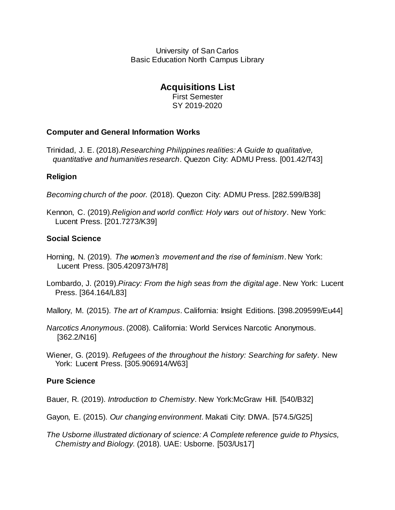University of San Carlos Basic Education North Campus Library

# **Acquisitions List**

First Semester SY 2019-2020

# **Computer and General Information Works**

Trinidad, J. E. (2018).*Researching Philippines realities: A Guide to qualitative, quantitative and humanities research*. Quezon City: ADMU Press. [001.42/T43]

# **Religion**

*Becoming church of the poor.* (2018). Quezon City: ADMU Press. [282.599/B38]

Kennon, C. (2019).*Religion and world conflict: Holy wars out of history*. New York: Lucent Press. [201.7273/K39]

# **Social Science**

- Horning, N. (2019). *The women's movement and the rise of feminism*. New York: Lucent Press. [305.420973/H78]
- Lombardo, J. (2019).*Piracy: From the high seas from the digital age*. New York: Lucent Press. [364.164/L83]

Mallory, M. (2015). *The art of Krampus*. California: Insight Editions. [398.209599/Eu44]

- *Narcotics Anonymous*. (2008). California: World Services Narcotic Anonymous. [362.2/N16]
- Wiener, G. (2019). *Refugees of the throughout the history: Searching for safety*. New York: Lucent Press. [305.906914/W63]

# **Pure Science**

- Bauer, R. (2019). *Introduction to Chemistry*. New York:McGraw Hill. [540/B32]
- Gayon, E. (2015). *Our changing environment*. Makati City: DIWA. [574.5/G25]
- *The Usborne illustrated dictionary of science: A Complete reference guide to Physics, Chemistry and Biology.* (2018). UAE: Usborne. [503/Us17]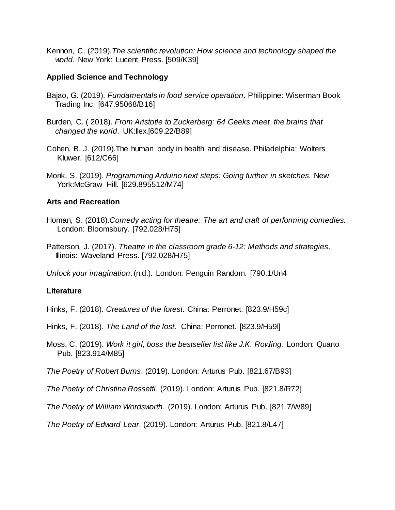Kennon, C. (2019).*The scientific revolution: How science and technology shaped the world.* New York: Lucent Press. [509/K39]

### **Applied Science and Technology**

- Bajao, G. (2019). *Fundamentals in food service operation*. Philippine: Wiserman Book Trading Inc. [647.95068/B16]
- Burden, C. ( 2018). *From Aristotle to Zuckerberg: 64 Geeks meet the brains that changed the world*. UK:Ilex.[609.22/B89]
- Cohen, B. J. (2019).The human body in health and disease. Philadelphia: Wolters Kluwer. [612/C66]
- Monk, S. (2019). *Programming Arduino next steps: Going further in sketches.* New York:McGraw Hill. [629.895512/M74]

# **Arts and Recreation**

- Homan, S. (2018).*Comedy acting for theatre: The art and craft of performing comedies.* London: Bloomsbury. [792.028/H75]
- Patterson, J. (2017). *Theatre in the classroom grade 6-12: Methods and strategies*. Illinois: Waveland Press. [792.028/H75]

*Unlock your imagination*. (n.d.). London: Penguin Random. [790.1/Un4

### **Literature**

Hinks, F. (2018). *Creatures of the forest*. China: Perronet. [823.9/H59c]

- Hinks, F. (2018). *The Land of the lost*. China: Perronet. [823.9/H59l]
- Moss, C. (2019). *Work it girl, boss the bestseller list like J.K. Rowling*. London: Quarto Pub. [823.914/M85]

*The Poetry of Robert Burns*. (2019). London: Arturus Pub. [821.67/B93]

*The Poetry of Christina Rossetti*. (2019). London: Arturus Pub. [821.8/R72]

*The Poetry of William Wordsworth*. (2019). London: Arturus Pub. [821.7/W89]

*The Poetry of Edward Lear*. (2019). London: Arturus Pub. [821.8/L47]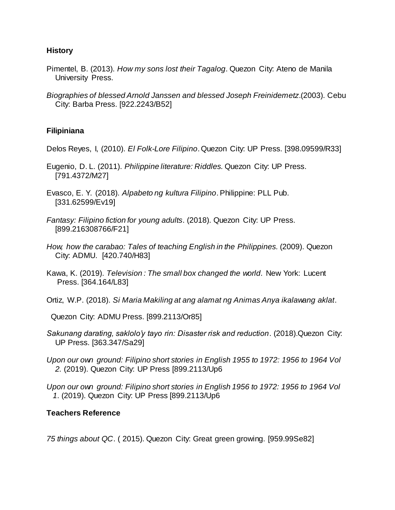### **History**

- Pimentel, B. (2013). *How my sons lost their Tagalog*. Quezon City: Ateno de Manila University Press.
- *Biographies of blessed Arnold Janssen and blessed Joseph Freinidemetz*.(2003). Cebu City: Barba Press. [922.2243/B52]

### **Filipiniana**

- Delos Reyes, I, (2010). *El Folk-Lore Filipino*. Quezon City: UP Press. [398.09599/R33]
- Eugenio, D. L. (2011). *Philippine literature: Riddles.* Quezon City: UP Press. [791.4372/M27]
- Evasco, E. Y. (2018). *Alpabeto ng kultura Filipino*. Philippine: PLL Pub. [331.62599/Ev19]
- *Fantasy: Filipino fiction for young adults*. (2018). Quezon City: UP Press. [899.216308766/F21]
- *How, how the carabao: Tales of teaching English in the Philippines.* (2009). Quezon City: ADMU. [420.740/H83]
- Kawa, K. (2019). *Television : The small box changed the world*. New York: Lucent Press. [364.164/L83]

Ortiz, W.P. (2018). *Si Maria Makiling at ang alamat ng Animas Anya ikalawang aklat*.

Quezon City: ADMU Press. [899.2113/Or85]

- *Sakunang darating, saklolo'y tayo rin: Disaster risk and reduction*. (2018).Quezon City: UP Press. [363.347/Sa29]
- *Upon our own ground: Filipino short stories in English 1955 to 1972: 1956 to 1964 Vol 2.* (2019). Quezon City: UP Press [899.2113/Up6
- *Upon our own ground: Filipino short stories in English 1956 to 1972: 1956 to 1964 Vol 1*. (2019). Quezon City: UP Press [899.2113/Up6

### **Teachers Reference**

*75 things about QC*. ( 2015). Quezon City: Great green growing. [959.99Se82]